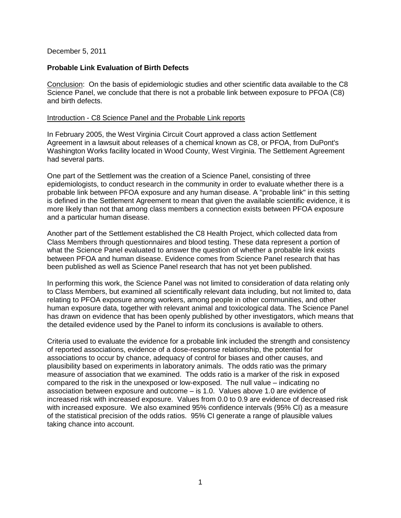### December 5, 2011

# **Probable Link Evaluation of Birth Defects**

Conclusion: On the basis of epidemiologic studies and other scientific data available to the C8 Science Panel, we conclude that there is not a probable link between exposure to PFOA (C8) and birth defects.

### Introduction - C8 Science Panel and the Probable Link reports

In February 2005, the West Virginia Circuit Court approved a class action Settlement Agreement in a lawsuit about releases of a chemical known as C8, or PFOA, from DuPont's Washington Works facility located in Wood County, West Virginia. The Settlement Agreement had several parts.

One part of the Settlement was the creation of a Science Panel, consisting of three epidemiologists, to conduct research in the community in order to evaluate whether there is a probable link between PFOA exposure and any human disease. A "probable link" in this setting is defined in the Settlement Agreement to mean that given the available scientific evidence, it is more likely than not that among class members a connection exists between PFOA exposure and a particular human disease.

Another part of the Settlement established the C8 Health Project, which collected data from Class Members through questionnaires and blood testing. These data represent a portion of what the Science Panel evaluated to answer the question of whether a probable link exists between PFOA and human disease. Evidence comes from Science Panel research that has been published as well as Science Panel research that has not yet been published.

In performing this work, the Science Panel was not limited to consideration of data relating only to Class Members, but examined all scientifically relevant data including, but not limited to, data relating to PFOA exposure among workers, among people in other communities, and other human exposure data, together with relevant animal and toxicological data. The Science Panel has drawn on evidence that has been openly published by other investigators, which means that the detailed evidence used by the Panel to inform its conclusions is available to others.

Criteria used to evaluate the evidence for a probable link included the strength and consistency of reported associations, evidence of a dose-response relationship, the potential for associations to occur by chance, adequacy of control for biases and other causes, and plausibility based on experiments in laboratory animals. The odds ratio was the primary measure of association that we examined. The odds ratio is a marker of the risk in exposed compared to the risk in the unexposed or low-exposed. The null value – indicating no association between exposure and outcome – is 1.0. Values above 1.0 are evidence of increased risk with increased exposure. Values from 0.0 to 0.9 are evidence of decreased risk with increased exposure. We also examined 95% confidence intervals (95% CI) as a measure of the statistical precision of the odds ratios. 95% CI generate a range of plausible values taking chance into account.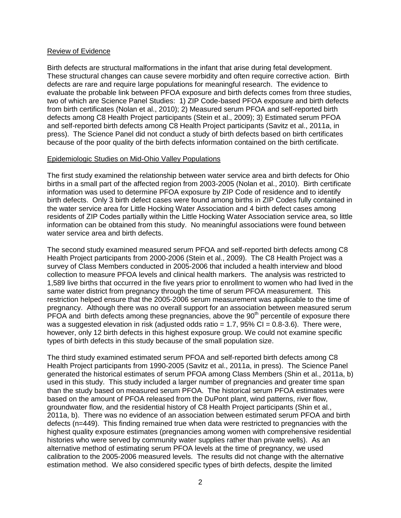### Review of Evidence

Birth defects are structural malformations in the infant that arise during fetal development. These structural changes can cause severe morbidity and often require corrective action. Birth defects are rare and require large populations for meaningful research. The evidence to evaluate the probable link between PFOA exposure and birth defects comes from three studies, two of which are Science Panel Studies: 1) ZIP Code-based PFOA exposure and birth defects from birth certificates (Nolan et al., 2010); 2) Measured serum PFOA and self-reported birth defects among C8 Health Project participants (Stein et al., 2009); 3) Estimated serum PFOA and self-reported birth defects among C8 Health Project participants (Savitz et al., 2011a, in press). The Science Panel did not conduct a study of birth defects based on birth certificates because of the poor quality of the birth defects information contained on the birth certificate.

## Epidemiologic Studies on Mid-Ohio Valley Populations

The first study examined the relationship between water service area and birth defects for Ohio births in a small part of the affected region from 2003-2005 (Nolan et al., 2010). Birth certificate information was used to determine PFOA exposure by ZIP Code of residence and to identify birth defects. Only 3 birth defect cases were found among births in ZIP Codes fully contained in the water service area for Little Hocking Water Association and 4 birth defect cases among residents of ZIP Codes partially within the Little Hocking Water Association service area, so little information can be obtained from this study. No meaningful associations were found between water service area and birth defects.

The second study examined measured serum PFOA and self-reported birth defects among C8 Health Project participants from 2000-2006 (Stein et al., 2009). The C8 Health Project was a survey of Class Members conducted in 2005-2006 that included a health interview and blood collection to measure PFOA levels and clinical health markers. The analysis was restricted to 1,589 live births that occurred in the five years prior to enrollment to women who had lived in the same water district from pregnancy through the time of serum PFOA measurement. This restriction helped ensure that the 2005-2006 serum measurement was applicable to the time of pregnancy. Although there was no overall support for an association between measured serum PFOA and birth defects among these pregnancies, above the  $90<sup>th</sup>$  percentile of exposure there was a suggested elevation in risk (adjusted odds ratio =  $1.7$ ,  $95\%$  CI =  $0.8-3.6$ ). There were, however, only 12 birth defects in this highest exposure group. We could not examine specific types of birth defects in this study because of the small population size.

The third study examined estimated serum PFOA and self-reported birth defects among C8 Health Project participants from 1990-2005 (Savitz et al., 2011a, in press). The Science Panel generated the historical estimates of serum PFOA among Class Members (Shin et al., 2011a, b) used in this study. This study included a larger number of pregnancies and greater time span than the study based on measured serum PFOA. The historical serum PFOA estimates were based on the amount of PFOA released from the DuPont plant, wind patterns, river flow, groundwater flow, and the residential history of C8 Health Project participants (Shin et al., 2011a, b). There was no evidence of an association between estimated serum PFOA and birth defects (n=449). This finding remained true when data were restricted to pregnancies with the highest quality exposure estimates (pregnancies among women with comprehensive residential histories who were served by community water supplies rather than private wells). As an alternative method of estimating serum PFOA levels at the time of pregnancy, we used calibration to the 2005-2006 measured levels. The results did not change with the alternative estimation method. We also considered specific types of birth defects, despite the limited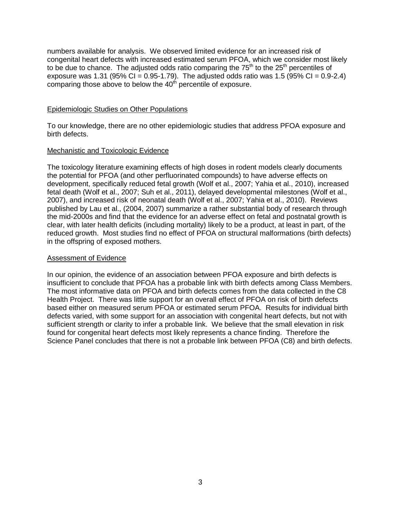numbers available for analysis. We observed limited evidence for an increased risk of congenital heart defects with increased estimated serum PFOA, which we consider most likely to be due to chance. The adjusted odds ratio comparing the  $75<sup>th</sup>$  to the  $25<sup>th</sup>$  percentiles of exposure was 1.31 (95% CI =  $0.95-1.79$ ). The adjusted odds ratio was 1.5 (95% CI =  $0.9-2.4$ ) comparing those above to below the  $40<sup>th</sup>$  percentile of exposure.

#### Epidemiologic Studies on Other Populations

To our knowledge, there are no other epidemiologic studies that address PFOA exposure and birth defects.

### Mechanistic and Toxicologic Evidence

The toxicology literature examining effects of high doses in rodent models clearly documents the potential for PFOA (and other perfluorinated compounds) to have adverse effects on development, specifically reduced fetal growth (Wolf et al., 2007; Yahia et al., 2010), increased fetal death (Wolf et al., 2007; Suh et al., 2011), delayed developmental milestones (Wolf et al., 2007), and increased risk of neonatal death (Wolf et al., 2007; Yahia et al., 2010). Reviews published by Lau et al., (2004, 2007) summarize a rather substantial body of research through the mid-2000s and find that the evidence for an adverse effect on fetal and postnatal growth is clear, with later health deficits (including mortality) likely to be a product, at least in part, of the reduced growth. Most studies find no effect of PFOA on structural malformations (birth defects) in the offspring of exposed mothers.

### Assessment of Evidence

In our opinion, the evidence of an association between PFOA exposure and birth defects is insufficient to conclude that PFOA has a probable link with birth defects among Class Members. The most informative data on PFOA and birth defects comes from the data collected in the C8 Health Project. There was little support for an overall effect of PFOA on risk of birth defects based either on measured serum PFOA or estimated serum PFOA. Results for individual birth defects varied, with some support for an association with congenital heart defects, but not with sufficient strength or clarity to infer a probable link. We believe that the small elevation in risk found for congenital heart defects most likely represents a chance finding. Therefore the Science Panel concludes that there is not a probable link between PFOA (C8) and birth defects.